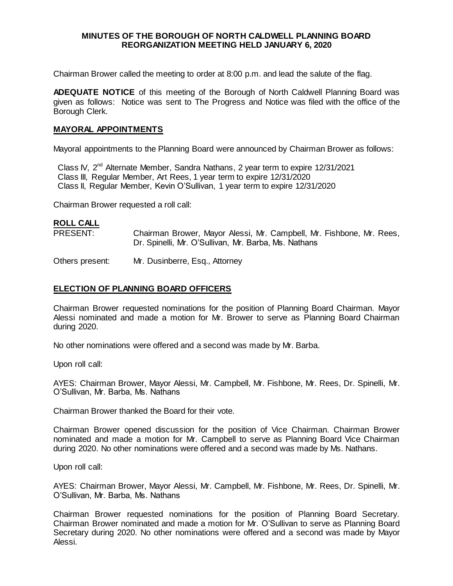### **MINUTES OF THE BOROUGH OF NORTH CALDWELL PLANNING BOARD REORGANIZATION MEETING HELD JANUARY 6, 2020**

Chairman Brower called the meeting to order at 8:00 p.m. and lead the salute of the flag.

**ADEQUATE NOTICE** of this meeting of the Borough of North Caldwell Planning Board was given as follows: Notice was sent to The Progress and Notice was filed with the office of the Borough Clerk.

### **MAYORAL APPOINTMENTS**

Mayoral appointments to the Planning Board were announced by Chairman Brower as follows:

Class IV, 2<sup>nd</sup> Alternate Member, Sandra Nathans, 2 year term to expire 12/31/2021 Class III, Regular Member, Art Rees, 1 year term to expire 12/31/2020 Class II, Regular Member, Kevin O'Sullivan, 1 year term to expire 12/31/2020

Chairman Brower requested a roll call:

# **ROLL CALL**

PRESENT: Chairman Brower, Mayor Alessi, Mr. Campbell, Mr. Fishbone, Mr. Rees, Dr. Spinelli, Mr. O'Sullivan, Mr. Barba, Ms. Nathans

Others present: Mr. Dusinberre, Esq., Attorney

# **ELECTION OF PLANNING BOARD OFFICERS**

Chairman Brower requested nominations for the position of Planning Board Chairman. Mayor Alessi nominated and made a motion for Mr. Brower to serve as Planning Board Chairman during 2020.

No other nominations were offered and a second was made by Mr. Barba.

Upon roll call:

AYES: Chairman Brower, Mayor Alessi, Mr. Campbell, Mr. Fishbone, Mr. Rees, Dr. Spinelli, Mr. O'Sullivan, Mr. Barba, Ms. Nathans

Chairman Brower thanked the Board for their vote.

Chairman Brower opened discussion for the position of Vice Chairman. Chairman Brower nominated and made a motion for Mr. Campbell to serve as Planning Board Vice Chairman during 2020. No other nominations were offered and a second was made by Ms. Nathans.

Upon roll call:

AYES: Chairman Brower, Mayor Alessi, Mr. Campbell, Mr. Fishbone, Mr. Rees, Dr. Spinelli, Mr. O'Sullivan, Mr. Barba, Ms. Nathans

Chairman Brower requested nominations for the position of Planning Board Secretary. Chairman Brower nominated and made a motion for Mr. O'Sullivan to serve as Planning Board Secretary during 2020. No other nominations were offered and a second was made by Mayor Alessi.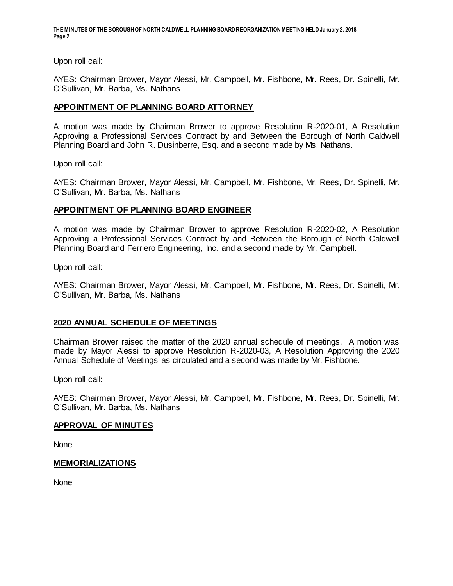**THE MINUTES OF THE BOROUGH OF NORTH CALDWELL PLANNING BOARD REORGANIZATIONMEETING HELD January 2, 2018 Page 2**

Upon roll call:

AYES: Chairman Brower, Mayor Alessi, Mr. Campbell, Mr. Fishbone, Mr. Rees, Dr. Spinelli, Mr. O'Sullivan, Mr. Barba, Ms. Nathans

### **APPOINTMENT OF PLANNING BOARD ATTORNEY**

A motion was made by Chairman Brower to approve Resolution R-2020-01, A Resolution Approving a Professional Services Contract by and Between the Borough of North Caldwell Planning Board and John R. Dusinberre, Esq. and a second made by Ms. Nathans.

Upon roll call:

AYES: Chairman Brower, Mayor Alessi, Mr. Campbell, Mr. Fishbone, Mr. Rees, Dr. Spinelli, Mr. O'Sullivan, Mr. Barba, Ms. Nathans

#### **APPOINTMENT OF PLANNING BOARD ENGINEER**

A motion was made by Chairman Brower to approve Resolution R-2020-02, A Resolution Approving a Professional Services Contract by and Between the Borough of North Caldwell Planning Board and Ferriero Engineering, Inc. and a second made by Mr. Campbell.

Upon roll call:

AYES: Chairman Brower, Mayor Alessi, Mr. Campbell, Mr. Fishbone, Mr. Rees, Dr. Spinelli, Mr. O'Sullivan, Mr. Barba, Ms. Nathans

### **2020 ANNUAL SCHEDULE OF MEETINGS**

Chairman Brower raised the matter of the 2020 annual schedule of meetings. A motion was made by Mayor Alessi to approve Resolution R-2020-03, A Resolution Approving the 2020 Annual Schedule of Meetings as circulated and a second was made by Mr. Fishbone.

Upon roll call:

AYES: Chairman Brower, Mayor Alessi, Mr. Campbell, Mr. Fishbone, Mr. Rees, Dr. Spinelli, Mr. O'Sullivan, Mr. Barba, Ms. Nathans

#### **APPROVAL OF MINUTES**

None

#### **MEMORIALIZATIONS**

None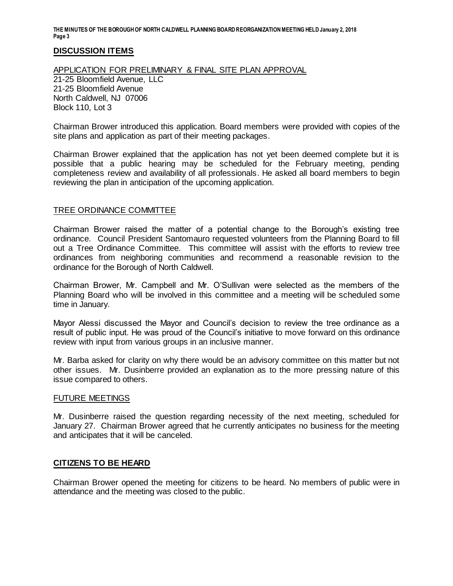**THE MINUTES OF THE BOROUGH OF NORTH CALDWELL PLANNING BOARD REORGANIZATIONMEETING HELD January 2, 2018 Page 3**

# **DISCUSSION ITEMS**

### APPLICATION FOR PRELIMINARY & FINAL SITE PLAN APPROVAL

21-25 Bloomfield Avenue, LLC 21-25 Bloomfield Avenue North Caldwell, NJ 07006 Block 110, Lot 3

Chairman Brower introduced this application. Board members were provided with copies of the site plans and application as part of their meeting packages.

Chairman Brower explained that the application has not yet been deemed complete but it is possible that a public hearing may be scheduled for the February meeting, pending completeness review and availability of all professionals. He asked all board members to begin reviewing the plan in anticipation of the upcoming application.

### TREE ORDINANCE COMMITTEE

Chairman Brower raised the matter of a potential change to the Borough's existing tree ordinance. Council President Santomauro requested volunteers from the Planning Board to fill out a Tree Ordinance Committee. This committee will assist with the efforts to review tree ordinances from neighboring communities and recommend a reasonable revision to the ordinance for the Borough of North Caldwell.

Chairman Brower, Mr. Campbell and Mr. O'Sullivan were selected as the members of the Planning Board who will be involved in this committee and a meeting will be scheduled some time in January.

Mayor Alessi discussed the Mayor and Council's decision to review the tree ordinance as a result of public input. He was proud of the Council's initiative to move forward on this ordinance review with input from various groups in an inclusive manner.

Mr. Barba asked for clarity on why there would be an advisory committee on this matter but not other issues. Mr. Dusinberre provided an explanation as to the more pressing nature of this issue compared to others.

### FUTURE MEETINGS

Mr. Dusinberre raised the question regarding necessity of the next meeting, scheduled for January 27. Chairman Brower agreed that he currently anticipates no business for the meeting and anticipates that it will be canceled.

### **CITIZENS TO BE HEARD**

Chairman Brower opened the meeting for citizens to be heard. No members of public were in attendance and the meeting was closed to the public.